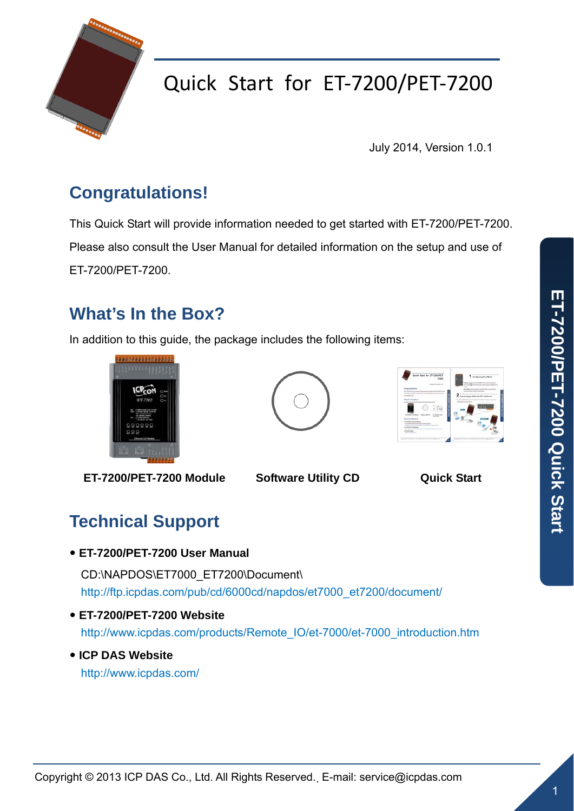

## Quick Start for ET‐7200/PET‐7200

July 2014, Version 1.0.1

### **Congratulations!**

This Quick Start will provide information needed to get started with ET-7200/PET-7200. Please also consult the User Manual for detailed information on the setup and use of ET-7200/PET-7200.

### **What's In the Box?**

In addition to this guide, the package includes the following items:





**ET-7200/PET-7200 Module Software Utility CD Quick Start** 

### **Technical Support**

y **ET-7200/PET-7200 User Manual** 

CD:\NAPDOS\ET7000\_ET7200\Document\ [http://ftp.icpdas.com/pub/cd/6000cd/napdos/et7000\\_et7200/document/](http://ftp.icpdas.com/pub/cd/6000cd/napdos/et7000_et7200/document/)

- y **ET-7200/PET-7200 Website**  [http://www.icpdas.com/products/Remote\\_IO/et-7000/et-7000\\_introduction.htm](http://www.icpdas.com/products/Remote_IO/et-7000/et-7000_introduction.htm)
- y **ICP DAS Website**  <http://www.icpdas.com/>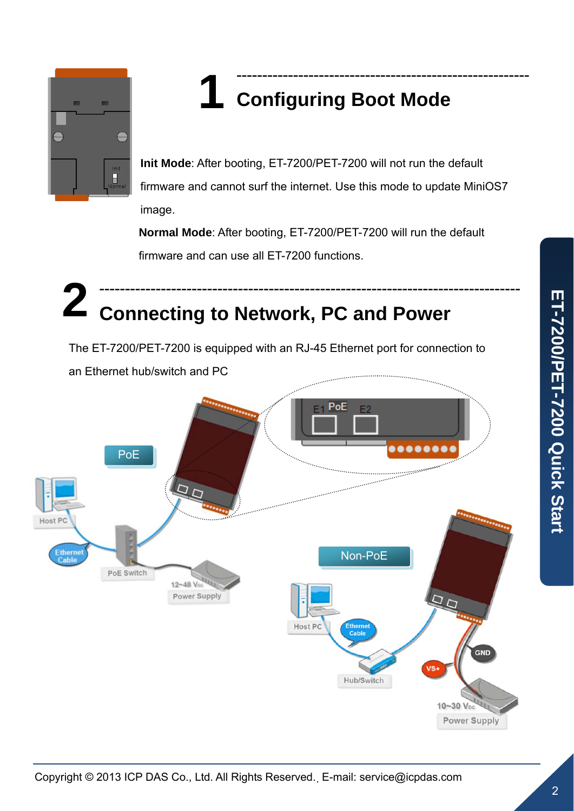

# **1** --------------------------------------------------------- **Configuring Boot Mode**

**Init Mode**: After booting, ET-7200/PET-7200 will not run the default firmware and cannot surf the internet. Use this mode to update MiniOS7 image.

**Normal Mode**: After booting, ET-7200/PET-7200 will run the default firmware and can use all ET-7200 functions.

## **2** ---------------------------------------------------------------------------------- **Connecting to Network, PC and Power**

The ET-7200/PET-7200 is equipped with an RJ-45 Ethernet port for connection to an Ethernet hub/switch and PC

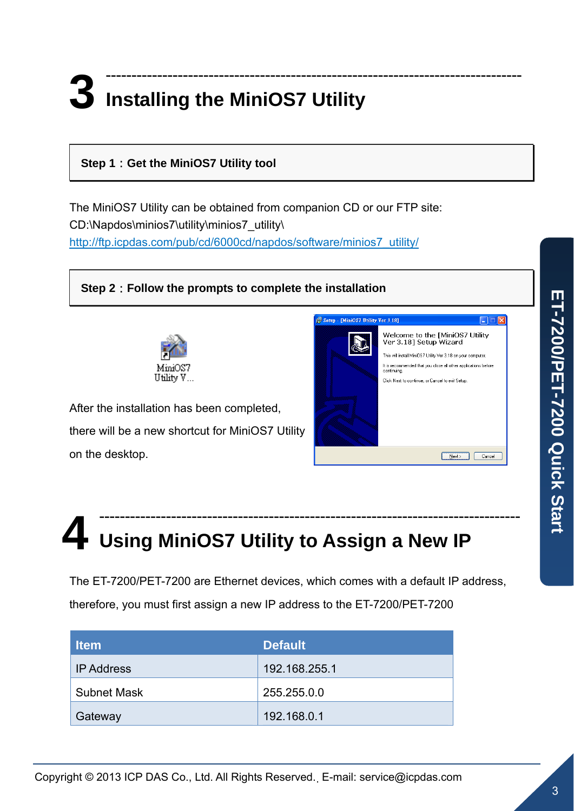#### **Step 1**:**Get the MiniOS7 Utility tool**

The MiniOS7 Utility can be obtained from companion CD or our FTP site: CD:\Napdos\minios7\utility\minios7\_utility\ [http://ftp.icpdas.com/pub/cd/6000cd/napdos/software/minios7\\_utility/](http://ftp.icpdas.com/pub/cd/6000cd/napdos/software/minios7_utility/)

**Step 2**:**Follow the prompts to complete the installation** 



After the installation has been completed, there will be a new shortcut for MiniOS7 Utility on the desktop.



# **4** ---------------------------------------------------------------------------------- **Using MiniOS7 Utility to Assign a New IP**

The ET-7200/PET-7200 are Ethernet devices, which comes with a default IP address, therefore, you must first assign a new IP address to the ET-7200/PET-7200

| <b>Item</b>        | <b>Default</b> |  |
|--------------------|----------------|--|
| <b>IP Address</b>  | 192.168.255.1  |  |
| <b>Subnet Mask</b> | 255.255.0.0    |  |
| Gateway            | 192.168.0.1    |  |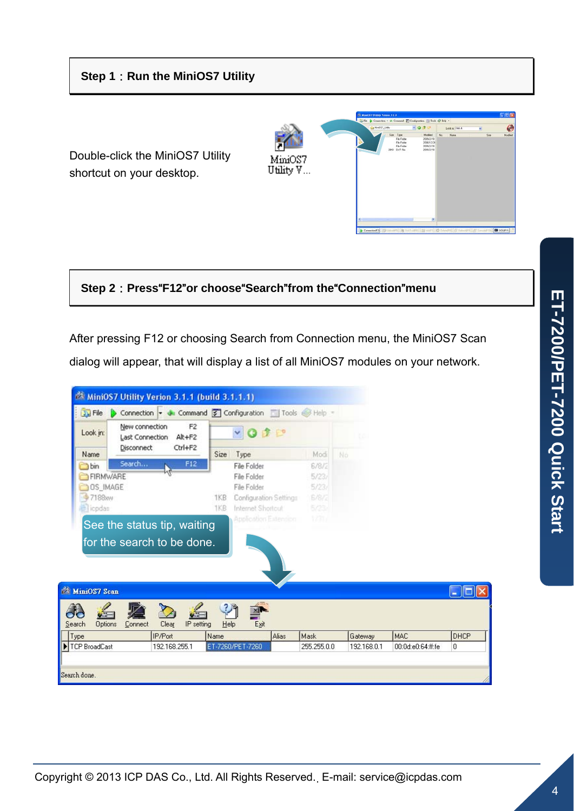Double-click the MiniOS7 Utility shortcut on your desktop.



**Step 2**:**Press**"**F12**"**or choose**"**Search**"**from the**"**Connection**"**menu** 

After pressing F12 or choosing Search from Connection menu, the MiniOS7 Scan

dialog will appear, that will display a list of all MiniOS7 modules on your network.

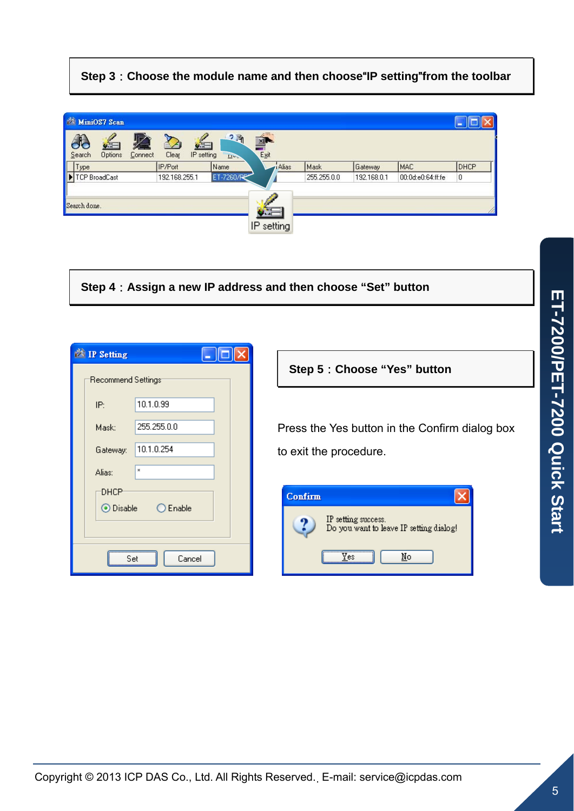#### **Step 3**:**Choose the module name and then choose**"**IP setting**"**from the toolbar**



**Step 4**:**Assign a new IP address and then choose "Set" button** 

| L.<br><sup>2</sup> IP Setting |          |             |
|-------------------------------|----------|-------------|
| Recommend Settings:           |          |             |
|                               | IP:      | 10.1.0.99   |
|                               | Mask:    | 255.255.0.0 |
|                               | Gateway: | 10.1.0.254  |
|                               | Alias:   | ×           |
| DHCP<br>⊙ Disable  ○ Enable   |          |             |
| Cancel<br>Set                 |          |             |

**Step 5**:**Choose "Yes" button** 

Press the Yes button in the Confirm dialog box to exit the procedure.

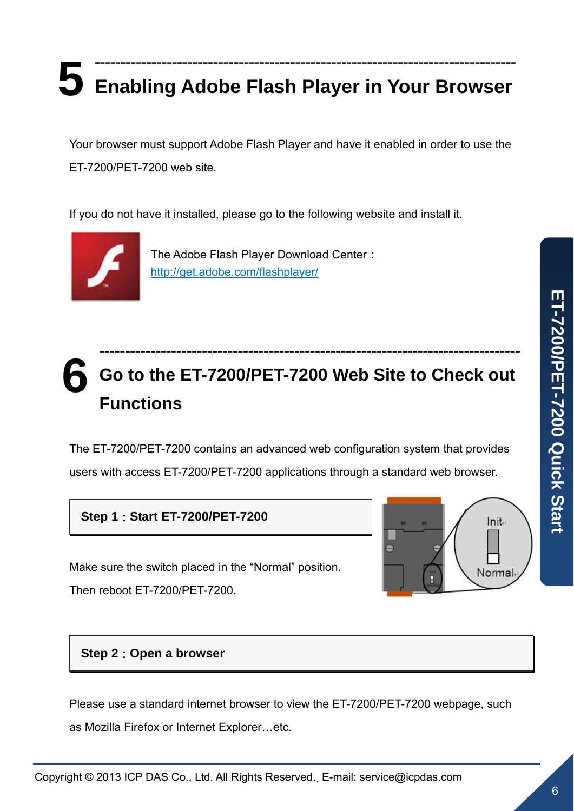# **5** ---------------------------------------------------------------------------------- **Enabling Adobe Flash Player in Your Browser**

Your browser must support Adobe Flash Player and have it enabled in order to use the ET-7200/PET-7200 web site.

If you do not have it installed, please go to the following website and install it.



The Adobe Flash Player Download Center: <http://get.adobe.com/flashplayer/>

## **6** ---------------------------------------------------------------------------------- **Go to the ET-7200/PET-7200 Web Site to Check out Functions**

The ET-7200/PET-7200 contains an advanced web configuration system that provides users with access ET-7200/PET-7200 applications through a standard web browser.

**Step 1**:**Start ET-7200/PET-7200** 

Make sure the switch placed in the "Normal" position.

Then reboot ET-7200/PET-7200.



### **Step 2**:**Open a browser**

Please use a standard internet browser to view the ET-7200/PET-7200 webpage, such as Mozilla Firefox or Internet Explorer…etc.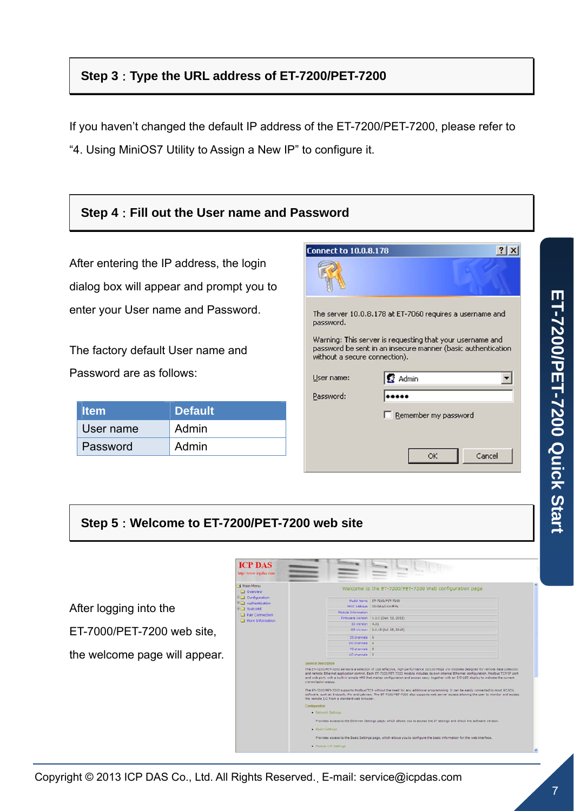### **Step 3**:**Type the URL address of ET-7200/PET-7200**

If you haven't changed the default IP address of the ET-7200/PET-7200, please refer to "4. Using MiniOS7 Utility to Assign a New IP" to configure it.

#### **Step 4**:**Fill out the User name and Password Connect to 10.0.8.178**  $?|X|$ After entering the IP address, the login  $\mathbb{R}$ dialog box will appear and prompt you to enter your User name and Password. The server 10.0.8.178 at ET-7060 requires a username and password. Warning: This server is requesting that your username and The factory default User name and password be sent in an insecure manner (basic authentication without a secure connection). Password are as follows: User name: **B** Admin  $\vert \mathbf{r} \vert$ Password: ..... **Item Default**  E Remember my password User name Admin Password Admin OK Cancel

#### **Step 5**:**Welcome to ET-7200/PET-7200 web site**



ET-7200/PET-7200 Quick Start **ET-7200/PET-7200 Quick Start**